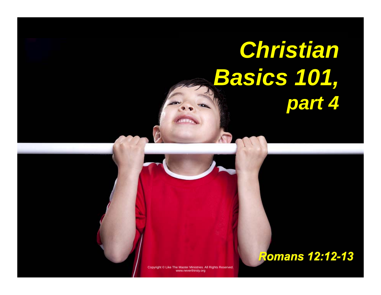# *Christian Basics 101, part 4*

Copyright © Like The Master Ministries. All Rights Reserved. www.neverthirsty.org

#### *Romans 12:12-13*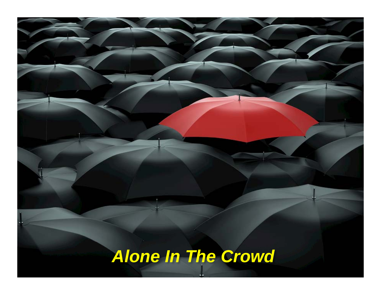# *Alone In The Crowd*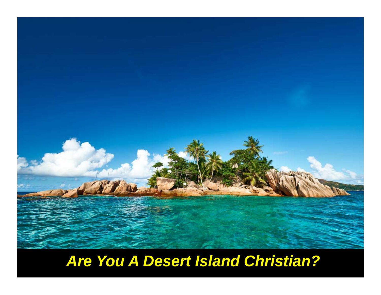

### *Are You A Desert Island Christian?*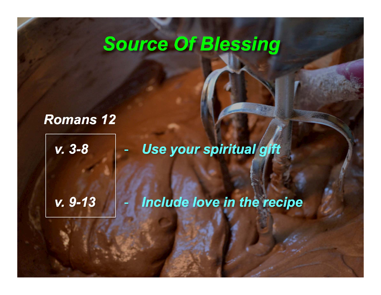### *Source Of Blessing*

*Romans 12*

*v. 9-13*

*v. 3-8*  -*Use your spiritual gift* 

*Include love in the recipe*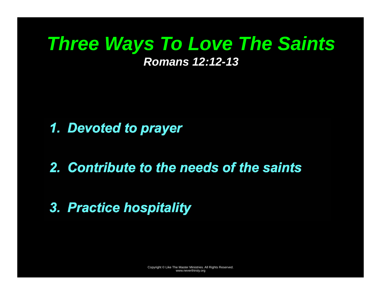### *Three Ways To Love The Saints Romans 12:12-13*

*1. Devoted to prayer* 

*2. Contribute to the needs of the saints* 

#### *3. Practice hospitality*

Copyright © Like The Master Ministries. All Rights Reserved. www.neverthirsty.org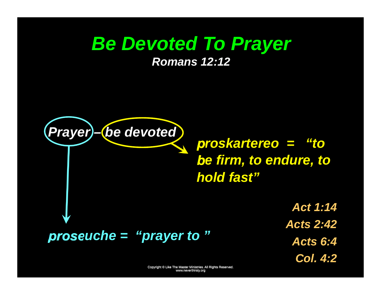### *Be Devoted To Prayer*

*Romans 12:12* 



*proskartereo = "to be firm, to endure, to hold fast"* 

> *Act 1:14 Acts 2:42 Acts 6:4 Col. 4:2*

Copyright © Like The Master Ministries. All Rights Reserved. www.neverthirsty.org www.neverthirsty.org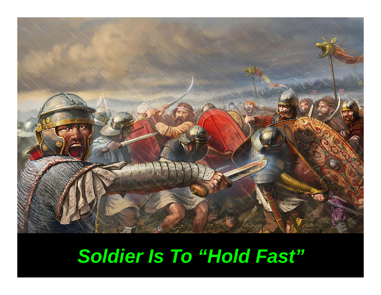

## *Soldier Is To "Hold Fast"*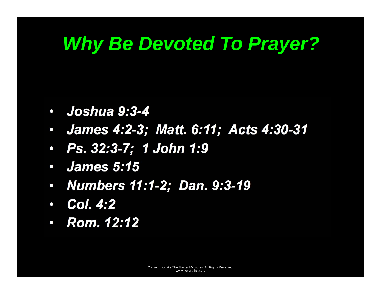### *Why Be Devoted To Prayer?*

- *Joshua 9:3-4*
- *James 4:2-3; Matt. 6:11; Acts 4:30-31*
- *Ps. 32:3-7; 1 John 1:9*
- $\bullet$ *James 5:15*
- $\bullet$ *Numbers 11:1-2; Dan. 9:3-19*
- $\bullet$ *Col. 4:2*
- *Rom. 12:12*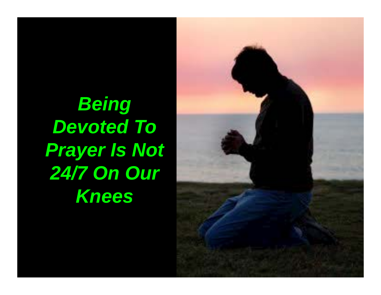*Being Devoted To Prayer Is Not 24/7 On Our Knees*

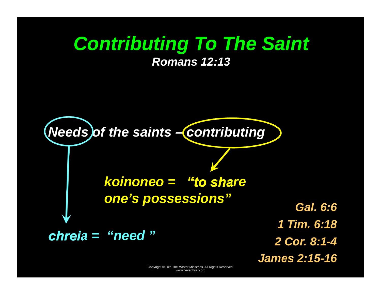#### *Contributing To The Saint Romans 12:13*



Copyright © Like The Master Ministries. All Rights Reserved. www.neverthirsty.org

*James 2:15-16*